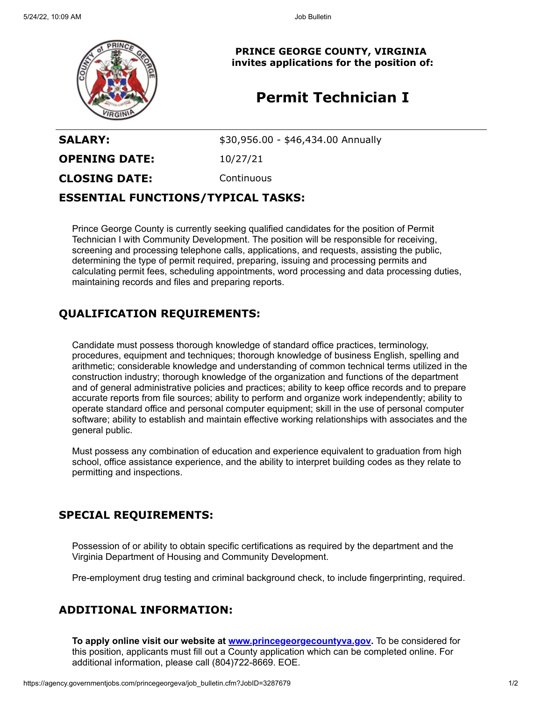

**PRINCE GEORGE COUNTY, VIRGINIA invites applications for the position of:**

# **Permit Technician I**

**SALARY:**  $$30,956.00 - $46,434.00$  Annually

**OPENING DATE:** 10/27/21

**CLOSING DATE:** Continuous

#### **ESSENTIAL FUNCTIONS/TYPICAL TASKS:**

Prince George County is currently seeking qualified candidates for the position of Permit Technician I with Community Development. The position will be responsible for receiving, screening and processing telephone calls, applications, and requests, assisting the public, determining the type of permit required, preparing, issuing and processing permits and calculating permit fees, scheduling appointments, word processing and data processing duties, maintaining records and files and preparing reports.

### **QUALIFICATION REQUIREMENTS:**

Candidate must possess thorough knowledge of standard office practices, terminology, procedures, equipment and techniques; thorough knowledge of business English, spelling and arithmetic; considerable knowledge and understanding of common technical terms utilized in the construction industry; thorough knowledge of the organization and functions of the department and of general administrative policies and practices; ability to keep office records and to prepare accurate reports from file sources; ability to perform and organize work independently; ability to operate standard office and personal computer equipment; skill in the use of personal computer software; ability to establish and maintain effective working relationships with associates and the general public.

Must possess any combination of education and experience equivalent to graduation from high school, office assistance experience, and the ability to interpret building codes as they relate to permitting and inspections.

## **SPECIAL REQUIREMENTS:**

Possession of or ability to obtain specific certifications as required by the department and the Virginia Department of Housing and Community Development.

Pre-employment drug testing and criminal background check, to include fingerprinting, required.

## **ADDITIONAL INFORMATION:**

**To apply online visit our website at [www.princegeorgecountyva.gov](http://www.princegeorgecountyva.gov/).** To be considered for this position, applicants must fill out a County application which can be completed online. For additional information, please call (804)722-8669. EOE.